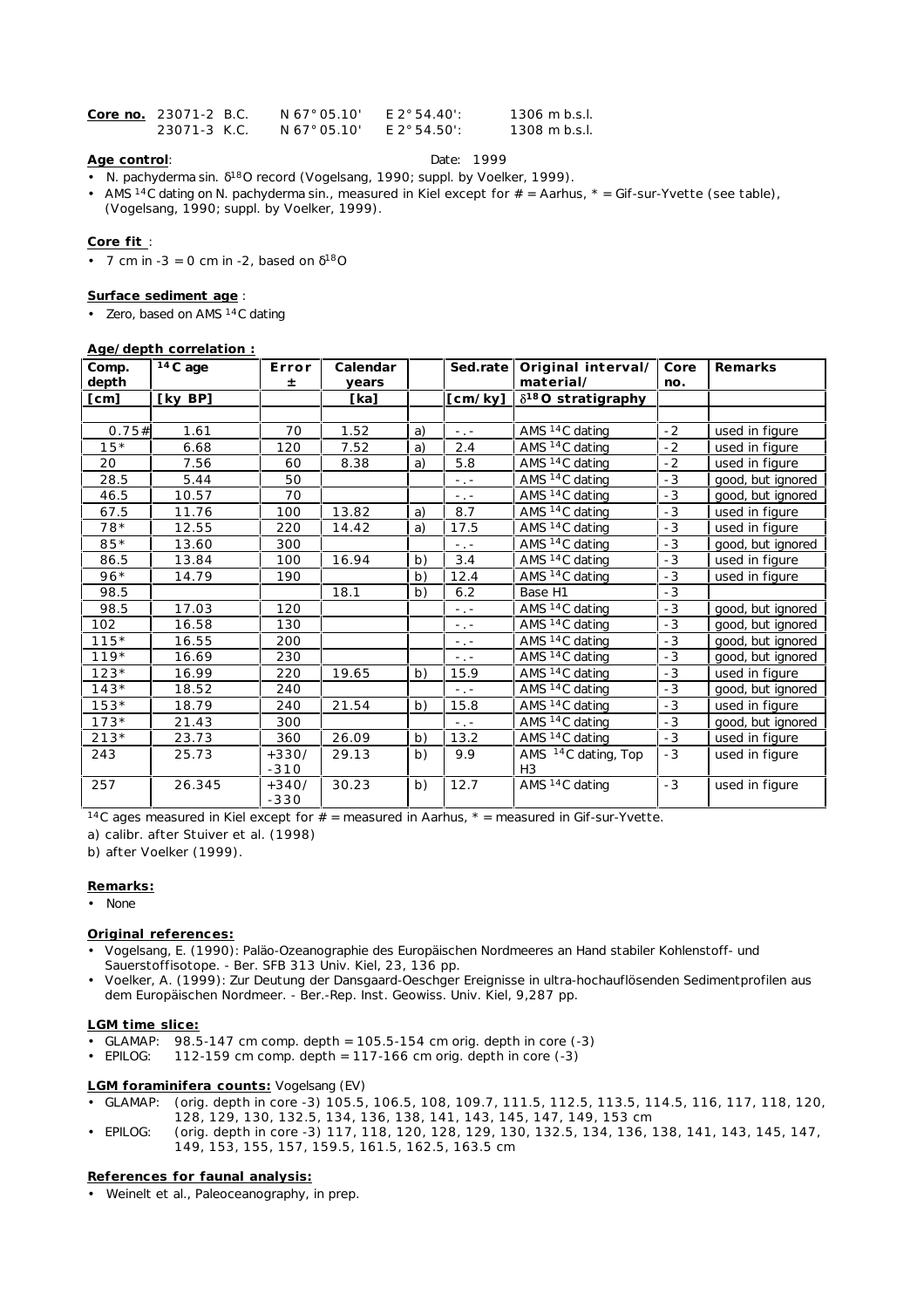| Core no. 23071-2 B.C. | N 67° 05.10' | F 2° 54.40': | 1306 m b.s.l. |
|-----------------------|--------------|--------------|---------------|
| 23071-3 K.C.          | N 67° 05.10' | E 2° 54.50': | 1308 m b.s.l. |

# **Age control**: Date: 1999

- *N. pachyderma* sin. 18O record (Vogelsang, 1990; suppl. by Voelker, 1999).
- AMS 14C dating on *N. pachyderma* sin., measured in Kiel except for # = Aarhus, \* = Gif-sur-Yvette (see table), (Vogelsang, 1990; suppl. by Voelker, 1999).

## **Core fit** :

• 7 cm in  $-3 = 0$  cm in  $-2$ , based on  $180$ 

### **Surface sediment age** :

• Zero, based on AMS 14C dating

### **Age/depth correlation :**

| Comp.  | $\overline{14}$ C age | Error   | Calendar |    | Sed.rate        | Original interval/              | Core | Remarks           |
|--------|-----------------------|---------|----------|----|-----------------|---------------------------------|------|-------------------|
| depth  |                       | 士       | years    |    |                 | material/                       | no.  |                   |
| [cm]   | [ky BP]               |         | [ka]     |    | [cm/ky]         | $\delta^{18}$ O stratigraphy    |      |                   |
|        |                       |         |          |    |                 |                                 |      |                   |
| 0.75#  | 1.61                  | 70      | 1.52     | a) | $\sim$ , $\sim$ | AMS <sup>14</sup> C dating      | $-2$ | used in figure    |
| $15*$  | 6.68                  | 120     | 7.52     | a) | 2.4             | AMS $14C$ dating                | $-2$ | used in figure    |
| 20     | 7.56                  | 60      | 8.38     | a) | 5.8             | AMS <sup>14</sup> C dating      | $-2$ | used in figure    |
| 28.5   | 5.44                  | 50      |          |    | $\sim$ , $\sim$ | AMS <sup>14</sup> C dating      | $-3$ | good, but ignored |
| 46.5   | 10.57                 | 70      |          |    | $\sim$ , $\sim$ | AMS <sup>14</sup> C dating      | $-3$ | good, but ignored |
| 67.5   | 11.76                 | 100     | 13.82    | a) | 8.7             | AMS <sup>14</sup> C dating      | $-3$ | used in figure    |
| $78*$  | 12.55                 | 220     | 14.42    | a) | 17.5            | AMS <sup>14</sup> C dating      | $-3$ | used in figure    |
| $85*$  | 13.60                 | 300     |          |    | $\sim$ , $\sim$ | AMS <sup>14</sup> C dating      | - 3  | good, but ignored |
| 86.5   | 13.84                 | 100     | 16.94    | b) | 3.4             | AMS <sup>14</sup> C dating      | $-3$ | used in figure    |
| $96*$  | 14.79                 | 190     |          | b) | 12.4            | AMS <sup>14</sup> C dating      | $-3$ | used in figure    |
| 98.5   |                       |         | 18.1     | b) | 6.2             | Base H1                         | $-3$ |                   |
| 98.5   | 17.03                 | 120     |          |    | $\sim$ , $\sim$ | AMS <sup>14</sup> C dating      | $-3$ | good, but ignored |
| 102    | 16.58                 | 130     |          |    | $\sim$ , $\sim$ | AMS <sup>14</sup> C dating      | $-3$ | good, but ignored |
| $115*$ | 16.55                 | 200     |          |    | $\sim$ , $\sim$ | AMS <sup>14</sup> C dating      | $-3$ | good, but ignored |
| $119*$ | 16.69                 | 230     |          |    | $\sim$ , $\sim$ | AMS <sup>14</sup> C dating      | $-3$ | good, but ignored |
| $123*$ | 16.99                 | 220     | 19.65    | b) | 15.9            | AMS <sup>14</sup> C dating      | $-3$ | used in figure    |
| $143*$ | 18.52                 | 240     |          |    | $\sim$ , $\sim$ | AMS <sup>14</sup> C dating      | $-3$ | good, but ignored |
| $153*$ | 18.79                 | 240     | 21.54    | b) | 15.8            | AMS <sup>14</sup> C dating      | $-3$ | used in figure    |
| $173*$ | 21.43                 | 300     |          |    | $\sim 10^{-1}$  | AMS <sup>14</sup> C dating      | - 3  | good, but ignored |
| $213*$ | 23.73                 | 360     | 26.09    | b) | 13.2            | AMS <sup>14</sup> C dating      | $-3$ | used in figure    |
| 243    | 25.73                 | $+330/$ | 29.13    | b) | 9.9             | AMS <sup>14</sup> C dating, Top | $-3$ | used in figure    |
|        |                       | $-310$  |          |    |                 | H <sub>3</sub>                  |      |                   |
| 257    | 26.345                | $+340/$ | 30.23    | b) | 12.7            | AMS <sup>14</sup> C dating      | $-3$ | used in figure    |
|        |                       | $-330$  |          |    |                 |                                 |      |                   |

<sup>14</sup>C ages measured in Kiel except for  $#$  = measured in Aarhus,  $*$  = measured in Gif-sur-Yvette.

a) calibr. after Stuiver et al. (1998)

b) after Voelker (1999).

## **Remarks:**

• None

# **Original references:**

- Vogelsang, E. (1990): Paläo-Ozeanographie des Europäischen Nordmeeres an Hand stabiler Kohlenstoff- und Sauerstoffisotope. - Ber. SFB 313 Univ. Kiel, 23, 136 pp.
- Voelker, A. (1999): Zur Deutung der Dansgaard-Oeschger Ereignisse in ultra-hochauflösenden Sedimentprofilen aus dem Europäischen Nordmeer. - Ber.-Rep. Inst. Geowiss. Univ. Kiel, 9,287 pp.

#### **LGM time slice:**

- GLAMAP:  $98.5-147$  cm comp. depth = 105.5-154 cm orig. depth in core  $(-3)$
- EPILOG:  $112-159$  cm comp. depth = 117-166 cm orig. depth in core  $(-3)$

#### **LGM foraminifera counts:** Vogelsang (EV)

- GLAMAP: (orig. depth in core -3) 105.5, 106.5, 108, 109.7, 111.5, 112.5, 113.5, 114.5, 116, 117, 118, 120, 128, 129, 130, 132.5, 134, 136, 138, 141, 143, 145, 147, 149, 153 cm
- EPILOG: (orig. depth in core -3) 117, 118, 120, 128, 129, 130, 132.5, 134, 136, 138, 141, 143, 145, 147, 149, 153, 155, 157, 159.5, 161.5, 162.5, 163.5 cm

**References for faunal analysis:**

• Weinelt et al., Paleoceanography, in prep.